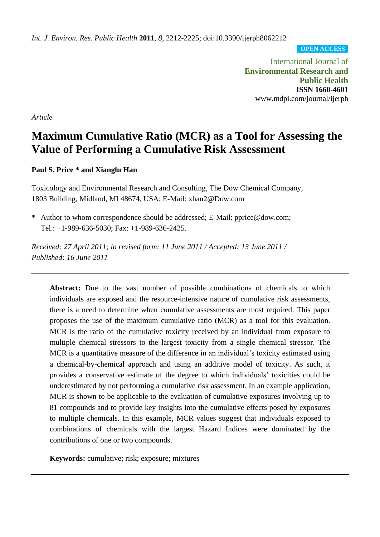*Int. J. Environ. Res. Public Health* **2011**, *8*, 2212-2225; doi:10.3390/ijerph8062212

**OPEN ACCESS**

International Journal of **Environmental Research and Public Health ISSN 1660-4601** www.mdpi.com/journal/ijerph

*Article*

# **Maximum Cumulative Ratio (MCR) as a Tool for Assessing the Value of Performing a Cumulative Risk Assessment**

## **Paul S. Price \* and Xianglu Han**

Toxicology and Environmental Research and Consulting, The Dow Chemical Company, 1803 Building, Midland, MI 48674, USA; E-Mail: xhan2@Dow.com

\* Author to whom correspondence should be addressed; E-Mail: pprice@dow.com; Tel.: +1-989-636-5030; Fax: +1-989-636-2425.

*Received: 27 April 2011; in revised form: 11 June 2011 / Accepted: 13 June 2011 / Published: 16 June 2011*

**Abstract:** Due to the vast number of possible combinations of chemicals to which individuals are exposed and the resource-intensive nature of cumulative risk assessments, there is a need to determine when cumulative assessments are most required. This paper proposes the use of the maximum cumulative ratio (MCR) as a tool for this evaluation. MCR is the ratio of the cumulative toxicity received by an individual from exposure to multiple chemical stressors to the largest toxicity from a single chemical stressor. The MCR is a quantitative measure of the difference in an individual's toxicity estimated using a chemical-by-chemical approach and using an additive model of toxicity. As such, it provides a conservative estimate of the degree to which individuals' toxicities could be underestimated by not performing a cumulative risk assessment. In an example application, MCR is shown to be applicable to the evaluation of cumulative exposures involving up to 81 compounds and to provide key insights into the cumulative effects posed by exposures to multiple chemicals. In this example, MCR values suggest that individuals exposed to combinations of chemicals with the largest Hazard Indices were dominated by the contributions of one or two compounds.

**Keywords:** cumulative; risk; exposure; mixtures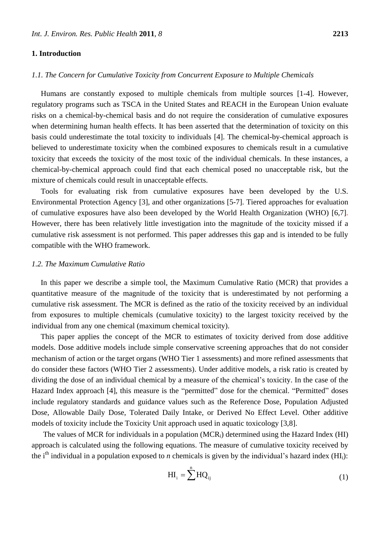#### **1. Introduction**

## *1.1. The Concern for Cumulative Toxicity from Concurrent Exposure to Multiple Chemicals*

Humans are constantly exposed to multiple chemicals from multiple sources [1-4]. However, regulatory programs such as TSCA in the United States and REACH in the European Union evaluate risks on a chemical-by-chemical basis and do not require the consideration of cumulative exposures when determining human health effects. It has been asserted that the determination of toxicity on this basis could underestimate the total toxicity to individuals [4]. The chemical-by-chemical approach is believed to underestimate toxicity when the combined exposures to chemicals result in a cumulative toxicity that exceeds the toxicity of the most toxic of the individual chemicals. In these instances, a chemical-by-chemical approach could find that each chemical posed no unacceptable risk, but the mixture of chemicals could result in unacceptable effects.

Tools for evaluating risk from cumulative exposures have been developed by the U.S. Environmental Protection Agency [3], and other organizations [5-7]. Tiered approaches for evaluation of cumulative exposures have also been developed by the World Health Organization (WHO) [6,7]. However, there has been relatively little investigation into the magnitude of the toxicity missed if a cumulative risk assessment is not performed. This paper addresses this gap and is intended to be fully compatible with the WHO framework.

## *1.2. The Maximum Cumulative Ratio*

In this paper we describe a simple tool, the Maximum Cumulative Ratio (MCR) that provides a quantitative measure of the magnitude of the toxicity that is underestimated by not performing a cumulative risk assessment. The MCR is defined as the ratio of the toxicity received by an individual from exposures to multiple chemicals (cumulative toxicity) to the largest toxicity received by the individual from any one chemical (maximum chemical toxicity).

This paper applies the concept of the MCR to estimates of toxicity derived from dose additive models. Dose additive models include simple conservative screening approaches that do not consider mechanism of action or the target organs (WHO Tier 1 assessments) and more refined assessments that do consider these factors (WHO Tier 2 assessments). Under additive models, a risk ratio is created by dividing the dose of an individual chemical by a measure of the chemical's toxicity. In the case of the Hazard Index approach [4], this measure is the "permitted" dose for the chemical. "Permitted" doses include regulatory standards and guidance values such as the Reference Dose, Population Adjusted Dose, Allowable Daily Dose, Tolerated Daily Intake, or Derived No Effect Level. Other additive models of toxicity include the Toxicity Unit approach used in aquatic toxicology [3,8].

The values of MCR for individuals in a population (MCR<sub>i</sub>) determined using the Hazard Index (HI) approach is calculated using the following equations. The measure of cumulative toxicity received by the i<sup>th</sup> individual in a population exposed to *n* chemicals is given by the individual's hazard index  $(HI_i)$ :

$$
H I_i = \sum^{n} H Q_{ij}
$$
 (1)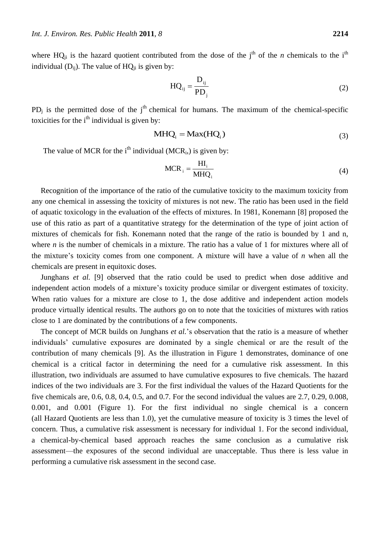where  $HQ_{ji}$  is the hazard quotient contributed from the dose of the j<sup>th</sup> of the *n* chemicals to the i<sup>th</sup> individual  $(D_{ii})$ . The value of  $HQ_{ii}$  is given by:

$$
HQ_{ij} = \frac{D_{ij}}{PD_j}
$$
 (2)

 $PD_i$  is the permitted dose of the j<sup>th</sup> chemical for humans. The maximum of the chemical-specific toxicities for the  $i<sup>th</sup>$  individual is given by:

$$
MHQ_i = Max(HQ_i)
$$
 (3)

The value of MCR for the  $i<sup>th</sup>$  individual (MCR<sub>i</sub>,) is given by:

$$
MCR_i = \frac{HI_i}{MHQ_i}
$$
 (4)

Recognition of the importance of the ratio of the cumulative toxicity to the maximum toxicity from any one chemical in assessing the toxicity of mixtures is not new. The ratio has been used in the field of aquatic toxicology in the evaluation of the effects of mixtures. In 1981, Konemann [8] proposed the use of this ratio as part of a quantitative strategy for the determination of the type of joint action of mixtures of chemicals for fish. Konemann noted that the range of the ratio is bounded by 1 and n, where *n* is the number of chemicals in a mixture. The ratio has a value of 1 for mixtures where all of the mixture's toxicity comes from one component. A mixture will have a value of *n* when all the chemicals are present in equitoxic doses.

Junghans *et al.* [9] observed that the ratio could be used to predict when dose additive and independent action models of a mixture's toxicity produce similar or divergent estimates of toxicity. When ratio values for a mixture are close to 1, the dose additive and independent action models produce virtually identical results. The authors go on to note that the toxicities of mixtures with ratios close to 1 are dominated by the contributions of a few components.

The concept of MCR builds on Junghans *et al.*'s observation that the ratio is a measure of whether individuals' cumulative exposures are dominated by a single chemical or are the result of the contribution of many chemicals [9]. As the illustration in Figure 1 demonstrates, dominance of one chemical is a critical factor in determining the need for a cumulative risk assessment. In this illustration, two individuals are assumed to have cumulative exposures to five chemicals. The hazard indices of the two individuals are 3. For the first individual the values of the Hazard Quotients for the five chemicals are, 0.6, 0.8, 0.4, 0.5, and 0.7. For the second individual the values are 2.7, 0.29, 0.008, 0.001, and 0.001 (Figure 1). For the first individual no single chemical is a concern (all Hazard Quotients are less than 1.0), yet the cumulative measure of toxicity is 3 times the level of concern. Thus, a cumulative risk assessment is necessary for individual 1. For the second individual, a chemical-by-chemical based approach reaches the same conclusion as a cumulative risk assessment—the exposures of the second individual are unacceptable. Thus there is less value in performing a cumulative risk assessment in the second case.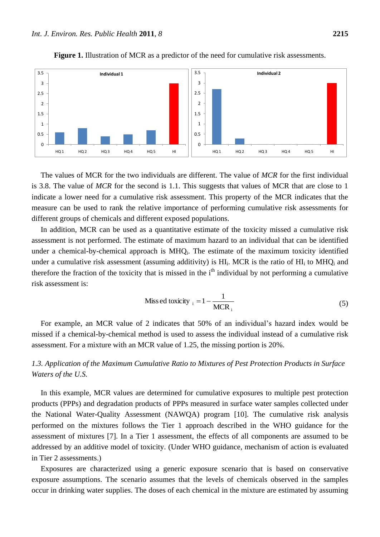

Figure 1. Illustration of MCR as a predictor of the need for cumulative risk assessments.

The values of MCR for the two individuals are different. The value of *MCR* for the first individual is 3.8. The value of *MCR* for the second is 1.1. This suggests that values of MCR that are close to 1 indicate a lower need for a cumulative risk assessment. This property of the MCR indicates that the measure can be used to rank the relative importance of performing cumulative risk assessments for different groups of chemicals and different exposed populations.

In addition, MCR can be used as a quantitative estimate of the toxicity missed a cumulative risk assessment is not performed. The estimate of maximum hazard to an individual that can be identified under a chemical-by-chemical approach is MHQ<sub>i</sub>. The estimate of the maximum toxicity identified under a cumulative risk assessment (assuming additivity) is  $HI<sub>i</sub>$ . MCR is the ratio of  $HI<sub>i</sub>$  to MHQ<sub>i</sub> and therefore the fraction of the toxicity that is missed in the  $i<sup>th</sup>$  individual by not performing a cumulative risk assessment is:

Miss ed toxicity 
$$
_i = 1 - \frac{1}{MCR_i}
$$
 (5)

For example, an MCR value of 2 indicates that 50% of an individual's hazard index would be missed if a chemical-by-chemical method is used to assess the individual instead of a cumulative risk assessment. For a mixture with an MCR value of 1.25, the missing portion is 20%.

# *1.3. Application of the Maximum Cumulative Ratio to Mixtures of Pest Protection Products in Surface Waters of the U.S.*

In this example, MCR values are determined for cumulative exposures to multiple pest protection products (PPPs) and degradation products of PPPs measured in surface water samples collected under the National Water-Quality Assessment (NAWQA) program [10]. The cumulative risk analysis performed on the mixtures follows the Tier 1 approach described in the WHO guidance for the assessment of mixtures [7]. In a Tier 1 assessment, the effects of all components are assumed to be addressed by an additive model of toxicity. (Under WHO guidance, mechanism of action is evaluated in Tier 2 assessments.)

Exposures are characterized using a generic exposure scenario that is based on conservative exposure assumptions. The scenario assumes that the levels of chemicals observed in the samples occur in drinking water supplies. The doses of each chemical in the mixture are estimated by assuming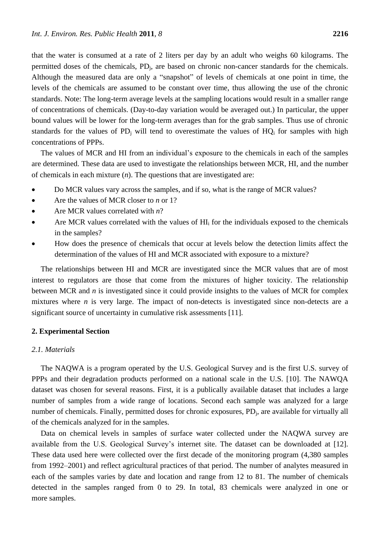that the water is consumed at a rate of 2 liters per day by an adult who weighs 60 kilograms. The permitted doses of the chemicals, PD<sub>i</sub>, are based on chronic non-cancer standards for the chemicals. Although the measured data are only a "snapshot" of levels of chemicals at one point in time, the levels of the chemicals are assumed to be constant over time, thus allowing the use of the chronic standards. Note: The long-term average levels at the sampling locations would result in a smaller range of concentrations of chemicals. (Day-to-day variation would be averaged out.) In particular, the upper bound values will be lower for the long-term averages than for the grab samples. Thus use of chronic standards for the values of PD<sub>i</sub> will tend to overestimate the values of HQ<sub>i</sub> for samples with high concentrations of PPPs.

The values of MCR and HI from an individual's exposure to the chemicals in each of the samples are determined. These data are used to investigate the relationships between MCR, HI, and the number of chemicals in each mixture (*n*). The questions that are investigated are:

- Do MCR values vary across the samples, and if so, what is the range of MCR values?
- Are the values of MCR closer to *n* or 1?
- Are MCR values correlated with *n*?
- Are MCR values correlated with the values of  $HI<sub>i</sub>$  for the individuals exposed to the chemicals in the samples?
- How does the presence of chemicals that occur at levels below the detection limits affect the determination of the values of HI and MCR associated with exposure to a mixture?

The relationships between HI and MCR are investigated since the MCR values that are of most interest to regulators are those that come from the mixtures of higher toxicity. The relationship between MCR and *n* is investigated since it could provide insights to the values of MCR for complex mixtures where *n* is very large. The impact of non-detects is investigated since non-detects are a significant source of uncertainty in cumulative risk assessments [11].

## **2. Experimental Section**

## *2.1. Materials*

The NAQWA is a program operated by the U.S. Geological Survey and is the first U.S. survey of PPPs and their degradation products performed on a national scale in the U.S. [10]. The NAWQA dataset was chosen for several reasons. First, it is a publically available dataset that includes a large number of samples from a wide range of locations. Second each sample was analyzed for a large number of chemicals. Finally, permitted doses for chronic exposures, PD<sub>i</sub>, are available for virtually all of the chemicals analyzed for in the samples.

Data on chemical levels in samples of surface water collected under the NAQWA survey are available from the U.S. Geological Survey's internet site. The dataset can be downloaded at [12]. These data used here were collected over the first decade of the monitoring program (4,380 samples from 1992–2001) and reflect agricultural practices of that period. The number of analytes measured in each of the samples varies by date and location and range from 12 to 81. The number of chemicals detected in the samples ranged from 0 to 29. In total, 83 chemicals were analyzed in one or more samples.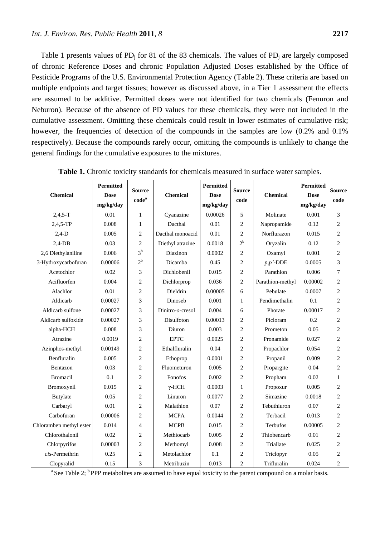Table 1 presents values of  $PD_i$  for 81 of the 83 chemicals. The values of  $PD_i$  are largely composed of chronic Reference Doses and chronic Population Adjusted Doses established by the Office of Pesticide Programs of the U.S. Environmental Protection Agency (Table 2). These criteria are based on multiple endpoints and target tissues; however as discussed above, in a Tier 1 assessment the effects are assumed to be additive. Permitted doses were not identified for two chemicals (Fenuron and Neburon). Because of the absence of PD values for these chemicals, they were not included in the cumulative assessment. Omitting these chemicals could result in lower estimates of cumulative risk; however, the frequencies of detection of the compounds in the samples are low  $(0.2\%$  and  $0.1\%$ respectively). Because the compounds rarely occur, omitting the compounds is unlikely to change the general findings for the cumulative exposures to the mixtures.

|                         | <b>Permitted</b> | <b>Source</b>                |                      | <b>Permitted</b> | <b>Source</b>  | <b>Chemical</b>  | <b>Permitted</b> | <b>Source</b>  |  |
|-------------------------|------------------|------------------------------|----------------------|------------------|----------------|------------------|------------------|----------------|--|
| <b>Chemical</b>         | <b>Dose</b>      | $\mathbf{code}^{\mathrm{a}}$ | <b>Chemical</b>      | <b>Dose</b>      | code           |                  | <b>Dose</b>      | code           |  |
|                         | mg/kg/day        |                              |                      | mg/kg/day        |                |                  | mg/kg/day        |                |  |
| $2,4,5-T$               | 0.01             | $\mathbf{1}$                 | Cyanazine            | 0.00026          | 5              | Molinate         | 0.001            | 3              |  |
| $2,4,5$ -TP             | 0.008            | 1                            | Dacthal              | 0.01             | $\overline{c}$ | Napropamide      | 0.12             | $\overline{2}$ |  |
| $2,4-D$                 | 0.005            | $\overline{2}$               | Dacthal monoacid     | 0.01             | 2              | Norflurazon      | 0.015            | $\overline{2}$ |  |
| $2,4$ -DB               | 0.03             | $\overline{2}$               | Diethyl atrazine     | 0.0018           | $2^{\rm b}$    | Oryzalin         | 0.12             | $\overline{2}$ |  |
| 2,6 Diethylaniline      | 0.006            | 3 <sup>b</sup>               | Diazinon             | 0.0002           | $\mathbf{2}$   | Oxamyl           | 0.001            | $\overline{c}$ |  |
| 3-Hydroxycarbofuran     | 0.00006          | $2^{\rm b}$                  | Dicamba              | 0.45             | $\overline{c}$ | $p, p'$ -DDE     | 0.0005           | 3              |  |
| Acetochlor              | 0.02             | 3                            | Dichlobenil          | 0.015            | $\overline{2}$ | Parathion        | 0.006            | 7              |  |
| Acifluorfen             | 0.004            | $\overline{2}$               | Dichlorprop          | 0.036            | $\overline{2}$ | Parathion-methyl | 0.00002          | $\overline{c}$ |  |
| Alachlor                | 0.01             | $\overline{c}$               | Dieldrin             | 0.00005          | 6              | Pebulate         | 0.0007           | $\overline{c}$ |  |
| Aldicarb                | 0.00027          | 3                            | Dinoseb              | 0.001            | 1              | Pendimethalin    | 0.1              | $\overline{c}$ |  |
| Aldicarb sulfone        | 0.00027          | 3                            | Dinitro- $o$ -cresol | 0.004            | 6              | Phorate          | 0.00017          | $\overline{2}$ |  |
| Aldicarb sulfoxide      | 0.00027          | 3                            | Disulfoton           | 0.00013          | $\overline{2}$ | Picloram         | 0.2              | $\overline{2}$ |  |
| alpha-HCH               | 0.008            | 3                            | Diuron               | 0.003            | $\overline{2}$ | Prometon         | 0.05             | $\overline{c}$ |  |
| Atrazine                | 0.0019           | $\overline{2}$               | <b>EPTC</b>          | 0.0025           | $\overline{2}$ | Pronamide        | 0.027            | $\overline{2}$ |  |
| Azinphos-methyl         | 0.00149          | $\overline{2}$               | Ethalfluralin        | 0.04             | $\overline{2}$ | Propachlor       | 0.054            | $\overline{c}$ |  |
| Benfluralin             | 0.005            | $\overline{2}$               | Ethoprop             | 0.0001           | $\overline{2}$ | Propanil         | 0.009            | $\overline{2}$ |  |
| Bentazon                | 0.03             | $\overline{c}$               | Fluometuron          | 0.005            | 2              | Propargite       | 0.04             | 2              |  |
| <b>Bromacil</b>         | 0.1              | $\mathbf{2}$                 | Fonofos              | 0.002            | 2              | Propham          | 0.02             | $\mathbf{1}$   |  |
| Bromoxynil              | 0.015            | $\mathbf{2}$                 | $\gamma$ -HCH        | 0.0003           | $\mathbf{1}$   | Propoxur         | 0.005            | $\overline{2}$ |  |
| <b>Butylate</b>         | 0.05             | $\sqrt{2}$                   | Linuron              | 0.0077           | $\mathfrak{2}$ | Simazine         | 0.0018           | $\overline{c}$ |  |
| Carbaryl                | 0.01             | $\overline{2}$               | Malathion            | 0.07             | $\overline{c}$ | Tebuthiuron      | 0.07             | 2              |  |
| Carbofuran              | 0.00006          | $\overline{2}$               | <b>MCPA</b>          | 0.0044           | 2              | Terbacil         | 0.013            | $\overline{2}$ |  |
| Chloramben methyl ester | 0.014            | $\overline{4}$               | <b>MCPB</b>          | 0.015            | $\overline{2}$ | Terbufos         | 0.00005          | $\overline{2}$ |  |
| Chlorothalonil          | 0.02             | $\mathbf{2}$                 | Methiocarb           | 0.005            | $\overline{c}$ | Thiobencarb      | 0.01             | $\overline{2}$ |  |
| Chlorpyrifos            | 0.00003          | $\overline{2}$               | Methomyl             | 0.008            | 2              | Triallate        | 0.025            | 2              |  |
| $cis$ -Permethrin       | 0.25             | $\overline{2}$               | Metolachlor          | 0.1              | $\mathbf{2}$   | Triclopyr        | 0.05             | $\overline{c}$ |  |
| Clopyralid              | 0.15             | 3                            | Metribuzin           | 0.013            | $\mathbf{2}$   | Trifluralin      | 0.024            | $\overline{c}$ |  |

**Table 1.** Chronic toxicity standards for chemicals measured in surface water samples.

<sup>a</sup> See Table 2; <sup>b</sup> PPP metabolites are assumed to have equal toxicity to the parent compound on a molar basis.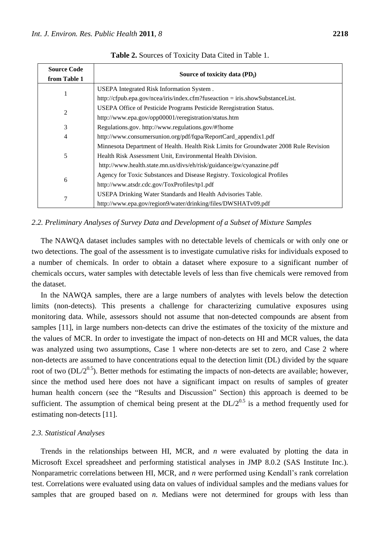| <b>Source Code</b><br>from Table 1 | Source of toxicity data $(PD_i)$                                                      |  |  |  |  |  |
|------------------------------------|---------------------------------------------------------------------------------------|--|--|--|--|--|
|                                    | USEPA Integrated Risk Information System.                                             |  |  |  |  |  |
|                                    | http://cfpub.epa.gov/ncea/iris/index.cfm?fuseaction = iris.showSubstanceList.         |  |  |  |  |  |
| 2                                  | USEPA Office of Pesticide Programs Pesticide Reregistration Status.                   |  |  |  |  |  |
|                                    | http://www.epa.gov/opp00001/reregistration/status.htm                                 |  |  |  |  |  |
| 3                                  | Regulations.gov. http://www.regulations.gov/#!home                                    |  |  |  |  |  |
| $\overline{4}$                     | http://www.consumersunion.org/pdf/fqpa/ReportCard_appendix1.pdf                       |  |  |  |  |  |
|                                    | Minnesota Department of Health. Health Risk Limits for Groundwater 2008 Rule Revision |  |  |  |  |  |
| 5                                  | Health Risk Assessment Unit, Environmental Health Division.                           |  |  |  |  |  |
|                                    | http://www.health.state.mn.us/divs/eh/risk/guidance/gw/cyanazine.pdf                  |  |  |  |  |  |
| 6                                  | Agency for Toxic Substances and Disease Registry. Toxicological Profiles              |  |  |  |  |  |
|                                    | http://www.atsdr.cdc.gov/ToxProfiles/tp1.pdf                                          |  |  |  |  |  |
| 7                                  | USEPA Drinking Water Standards and Health Advisories Table.                           |  |  |  |  |  |
|                                    | http://www.epa.gov/region9/water/drinking/files/DWSHATv09.pdf                         |  |  |  |  |  |

**Table 2.** Sources of Toxicity Data Cited in Table 1.

#### *2.2. Preliminary Analyses of Survey Data and Development of a Subset of Mixture Samples*

The NAWQA dataset includes samples with no detectable levels of chemicals or with only one or two detections. The goal of the assessment is to investigate cumulative risks for individuals exposed to a number of chemicals. In order to obtain a dataset where exposure to a significant number of chemicals occurs, water samples with detectable levels of less than five chemicals were removed from the dataset.

In the NAWQA samples, there are a large numbers of analytes with levels below the detection limits (non-detects). This presents a challenge for characterizing cumulative exposures using monitoring data. While, assessors should not assume that non-detected compounds are absent from samples [11], in large numbers non-detects can drive the estimates of the toxicity of the mixture and the values of MCR. In order to investigate the impact of non-detects on HI and MCR values, the data was analyzed using two assumptions, Case 1 where non-detects are set to zero, and Case 2 where non-detects are assumed to have concentrations equal to the detection limit (DL) divided by the square root of two ( $DL/2^{0.5}$ ). Better methods for estimating the impacts of non-detects are available; however, since the method used here does not have a significant impact on results of samples of greater human health concern (see the "Results and Discussion" Section) this approach is deemed to be sufficient. The assumption of chemical being present at the  $DL/2^{0.5}$  is a method frequently used for estimating non-detects [11].

#### *2.3. Statistical Analyses*

Trends in the relationships between HI, MCR, and *n* were evaluated by plotting the data in Microsoft Excel spreadsheet and performing statistical analyses in JMP 8.0.2 (SAS Institute Inc.). Nonparametric correlations between HI, MCR, and *n* were performed using Kendall's rank correlation test. Correlations were evaluated using data on values of individual samples and the medians values for samples that are grouped based on *n*. Medians were not determined for groups with less than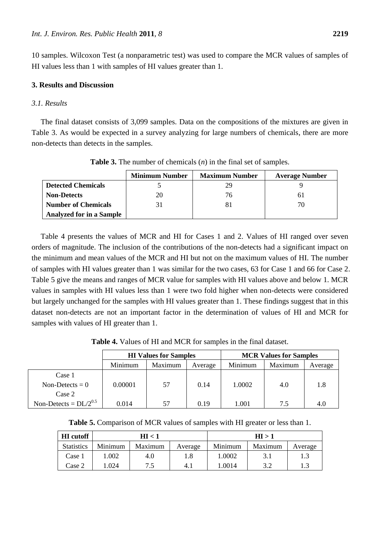10 samples. Wilcoxon Test (a nonparametric test) was used to compare the MCR values of samples of HI values less than 1 with samples of HI values greater than 1.

#### **3. Results and Discussion**

## *3.1. Results*

The final dataset consists of 3,099 samples. Data on the compositions of the mixtures are given in Table 3. As would be expected in a survey analyzing for large numbers of chemicals, there are more non-detects than detects in the samples.

|                                 | <b>Minimum Number</b> | <b>Maximum Number</b> | <b>Average Number</b> |
|---------------------------------|-----------------------|-----------------------|-----------------------|
| <b>Detected Chemicals</b>       |                       | 29                    |                       |
| <b>Non-Detects</b>              | 20                    | 76                    | 6 I                   |
| <b>Number of Chemicals</b>      |                       |                       | 70                    |
| <b>Analyzed for in a Sample</b> |                       |                       |                       |

**Table 3.** The number of chemicals (*n*) in the final set of samples.

Table 4 presents the values of MCR and HI for Cases 1 and 2. Values of HI ranged over seven orders of magnitude. The inclusion of the contributions of the non-detects had a significant impact on the minimum and mean values of the MCR and HI but not on the maximum values of HI. The number of samples with HI values greater than 1 was similar for the two cases, 63 for Case 1 and 66 for Case 2. Table 5 give the means and ranges of MCR value for samples with HI values above and below 1. MCR values in samples with HI values less than 1 were two fold higher when non-detects were considered but largely unchanged for the samples with HI values greater than 1. These findings suggest that in this dataset non-detects are not an important factor in the determination of values of HI and MCR for samples with values of HI greater than 1.

**Table 4.** Values of HI and MCR for samples in the final dataset.

|                            | <b>HI Values for Samples</b> |         |         | <b>MCR Values for Samples</b> |         |         |  |  |
|----------------------------|------------------------------|---------|---------|-------------------------------|---------|---------|--|--|
|                            | Minimum                      | Maximum | Average | Minimum                       | Maximum | Average |  |  |
| Case 1                     |                              |         |         |                               |         |         |  |  |
| Non-Detects = $0$          | 0.00001                      | 57      | 0.14    | 1.0002                        | 4.0     | 1.8     |  |  |
| Case 2                     |                              |         |         |                               |         |         |  |  |
| Non-Detects = $DL/2^{0.5}$ | 0.014                        | 57      | 0.19    | 1.001                         | 7.5     | 4.0     |  |  |

**Table 5.** Comparison of MCR values of samples with HI greater or less than 1.

| <b>HI</b> cutoff  |         | HI < 1  |         | HI > 1  |         |         |  |
|-------------------|---------|---------|---------|---------|---------|---------|--|
| <b>Statistics</b> | Minimum | Maximum | Average | Minimum | Maximum | Average |  |
| Case 1            | 1.002   | 4.0     | 1.8     | 1.0002  | 3.1     | 1.3     |  |
| Case 2            | .024    | 7.5     | 4.1     | 1.0014  | 3.2     |         |  |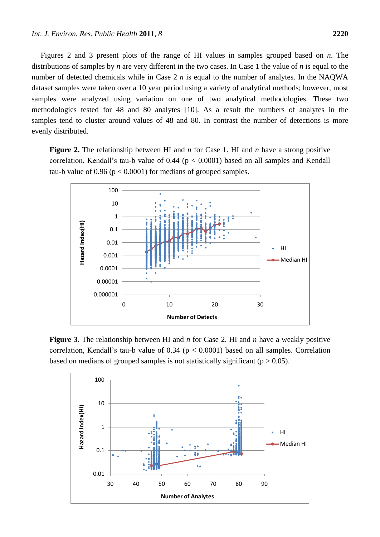Figures 2 and 3 present plots of the range of HI values in samples grouped based on *n*. The distributions of samples by *n* are very different in the two cases. In Case 1 the value of *n* is equal to the number of detected chemicals while in Case 2 *n* is equal to the number of analytes. In the NAQWA dataset samples were taken over a 10 year period using a variety of analytical methods; however, most samples were analyzed using variation on one of two analytical methodologies. These two methodologies tested for 48 and 80 analytes [10]. As a result the numbers of analytes in the samples tend to cluster around values of 48 and 80. In contrast the number of detections is more evenly distributed.

**Figure 2.** The relationship between HI and *n* for Case 1. HI and *n* have a strong positive correlation, Kendall's tau-b value of  $0.44$  ( $p < 0.0001$ ) based on all samples and Kendall tau-b value of  $0.96$  ( $p < 0.0001$ ) for medians of grouped samples.



**Figure 3.** The relationship between HI and *n* for Case 2. HI and *n* have a weakly positive correlation, Kendall's tau-b value of  $0.34$  ( $p < 0.0001$ ) based on all samples. Correlation based on medians of grouped samples is not statistically significant ( $p > 0.05$ ).

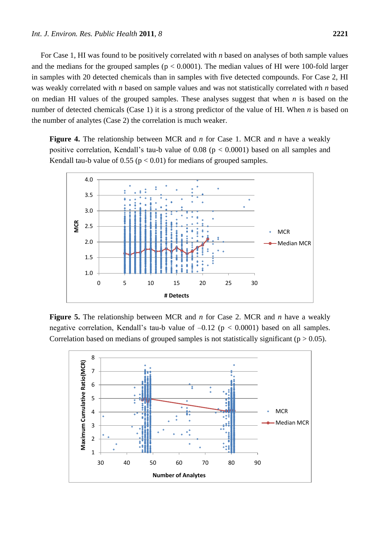For Case 1, HI was found to be positively correlated with *n* based on analyses of both sample values and the medians for the grouped samples ( $p < 0.0001$ ). The median values of HI were 100-fold larger in samples with 20 detected chemicals than in samples with five detected compounds. For Case 2, HI was weakly correlated with *n* based on sample values and was not statistically correlated with *n* based on median HI values of the grouped samples. These analyses suggest that when *n* is based on the number of detected chemicals (Case 1) it is a strong predictor of the value of HI. When *n* is based on the number of analytes (Case 2) the correlation is much weaker.

**Figure 4.** The relationship between MCR and *n* for Case 1. MCR and *n* have a weakly positive correlation, Kendall's tau-b value of  $0.08$  ( $p < 0.0001$ ) based on all samples and Kendall tau-b value of  $0.55$  ( $p < 0.01$ ) for medians of grouped samples.



**Figure 5.** The relationship between MCR and *n* for Case 2. MCR and *n* have a weakly negative correlation, Kendall's tau-b value of  $-0.12$  ( $p < 0.0001$ ) based on all samples. Correlation based on medians of grouped samples is not statistically significant ( $p > 0.05$ ).

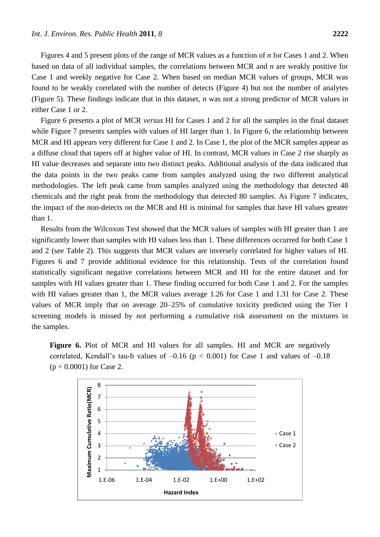Figures 4 and 5 present plots of the range of MCR values as a function of *n* for Cases 1 and 2. When based on data of all individual samples, the correlations between MCR and *n* are weakly positive for Case 1 and weekly negative for Case 2. When based on median MCR values of groups, MCR was found to be weakly correlated with the number of detects (Figure 4) but not the number of analytes (Figure 5). These findings indicate that in this dataset, *n* was not a strong predictor of MCR values in either Case 1 or 2.

Figure 6 presents a plot of MCR *versus* HI for Cases 1 and 2 for all the samples in the final dataset while Figure 7 presents samples with values of HI larger than 1. In Figure 6, the relationship between MCR and HI appears very different for Case 1 and 2. In Case 1, the plot of the MCR samples appear as a diffuse cloud that tapers off at higher value of HI. In contrast, MCR values in Case 2 rise sharply as HI value decreases and separate into two distinct peaks. Additional analysis of the data indicated that the data points in the two peaks came from samples analyzed using the two different analytical methodologies. The left peak came from samples analyzed using the methodology that detected 48 chemicals and the right peak from the methodology that detected 80 samples. As Figure 7 indicates, the impact of the non-detects on the MCR and HI is minimal for samples that have HI values greater than 1.

Results from the Wilcoxon Test showed that the MCR values of samples with HI greater than 1 are significantly lower than samples with HI values less than 1. These differences occurred for both Case 1 and 2 (see Table 2). This suggests that MCR values are inversely correlated for higher values of HI. Figures 6 and 7 provide additional evidence for this relationship. Tests of the correlation found statistically significant negative correlations between MCR and HI for the entire dataset and for samples with HI values greater than 1. These finding occurred for both Case 1 and 2. For the samples with HI values greater than 1, the MCR values average 1.26 for Case 1 and 1.31 for Case 2. These values of MCR imply that on average 20–25% of cumulative toxicity predicted using the Tier 1 screening models is missed by not performing a cumulative risk assessment on the mixtures in the samples.

**Figure 6.** Plot of MCR and HI values for all samples. HI and MCR are negatively correlated, Kendall's tau-b values of  $-0.16$  ( $p < 0.001$ ) for Case 1 and values of  $-0.18$  $(p < 0.0001)$  for Case 2.

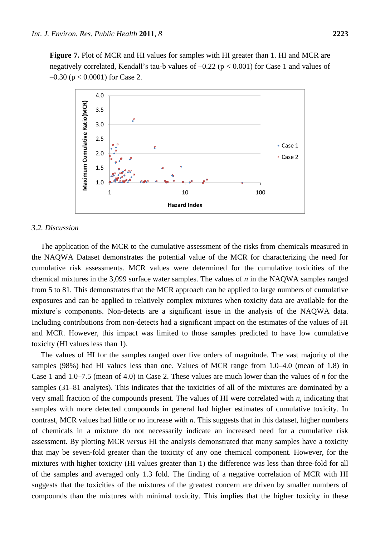**Figure 7.** Plot of MCR and HI values for samples with HI greater than 1. HI and MCR are negatively correlated, Kendall's tau-b values of  $-0.22$  ( $p < 0.001$ ) for Case 1 and values of  $-0.30$  (p < 0.0001) for Case 2.



#### *3.2. Discussion*

The application of the MCR to the cumulative assessment of the risks from chemicals measured in the NAQWA Dataset demonstrates the potential value of the MCR for characterizing the need for cumulative risk assessments. MCR values were determined for the cumulative toxicities of the chemical mixtures in the 3,099 surface water samples. The values of *n* in the NAQWA samples ranged from 5 to 81. This demonstrates that the MCR approach can be applied to large numbers of cumulative exposures and can be applied to relatively complex mixtures when toxicity data are available for the mixture's components. Non-detects are a significant issue in the analysis of the NAQWA data. Including contributions from non-detects had a significant impact on the estimates of the values of HI and MCR. However, this impact was limited to those samples predicted to have low cumulative toxicity (HI values less than 1).

The values of HI for the samples ranged over five orders of magnitude. The vast majority of the samples (98%) had HI values less than one. Values of MCR range from 1.0–4.0 (mean of 1.8) in Case 1 and 1.0–7.5 (mean of 4.0) in Case 2. These values are much lower than the values of *n* for the samples (31–81 analytes). This indicates that the toxicities of all of the mixtures are dominated by a very small fraction of the compounds present. The values of HI were correlated with *n*, indicating that samples with more detected compounds in general had higher estimates of cumulative toxicity. In contrast, MCR values had little or no increase with *n*. This suggests that in this dataset, higher numbers of chemicals in a mixture do not necessarily indicate an increased need for a cumulative risk assessment. By plotting MCR *versus* HI the analysis demonstrated that many samples have a toxicity that may be seven-fold greater than the toxicity of any one chemical component. However, for the mixtures with higher toxicity (HI values greater than 1) the difference was less than three-fold for all of the samples and averaged only 1.3 fold. The finding of a negative correlation of MCR with HI suggests that the toxicities of the mixtures of the greatest concern are driven by smaller numbers of compounds than the mixtures with minimal toxicity. This implies that the higher toxicity in these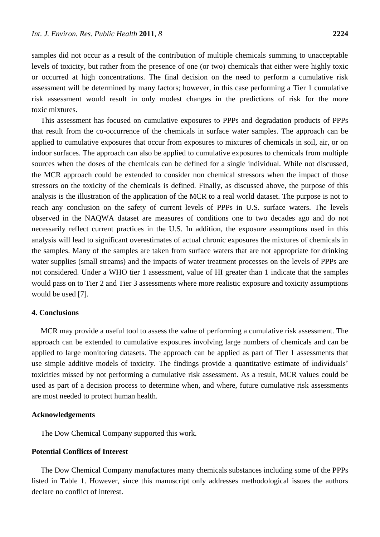samples did not occur as a result of the contribution of multiple chemicals summing to unacceptable levels of toxicity, but rather from the presence of one (or two) chemicals that either were highly toxic or occurred at high concentrations. The final decision on the need to perform a cumulative risk assessment will be determined by many factors; however, in this case performing a Tier 1 cumulative risk assessment would result in only modest changes in the predictions of risk for the more toxic mixtures.

This assessment has focused on cumulative exposures to PPPs and degradation products of PPPs that result from the co-occurrence of the chemicals in surface water samples. The approach can be applied to cumulative exposures that occur from exposures to mixtures of chemicals in soil, air, or on indoor surfaces. The approach can also be applied to cumulative exposures to chemicals from multiple sources when the doses of the chemicals can be defined for a single individual. While not discussed, the MCR approach could be extended to consider non chemical stressors when the impact of those stressors on the toxicity of the chemicals is defined. Finally, as discussed above, the purpose of this analysis is the illustration of the application of the MCR to a real world dataset. The purpose is not to reach any conclusion on the safety of current levels of PPPs in U.S. surface waters. The levels observed in the NAQWA dataset are measures of conditions one to two decades ago and do not necessarily reflect current practices in the U.S. In addition, the exposure assumptions used in this analysis will lead to significant overestimates of actual chronic exposures the mixtures of chemicals in the samples. Many of the samples are taken from surface waters that are not appropriate for drinking water supplies (small streams) and the impacts of water treatment processes on the levels of PPPs are not considered. Under a WHO tier 1 assessment, value of HI greater than 1 indicate that the samples would pass on to Tier 2 and Tier 3 assessments where more realistic exposure and toxicity assumptions would be used [7].

#### **4. Conclusions**

MCR may provide a useful tool to assess the value of performing a cumulative risk assessment. The approach can be extended to cumulative exposures involving large numbers of chemicals and can be applied to large monitoring datasets. The approach can be applied as part of Tier 1 assessments that use simple additive models of toxicity. The findings provide a quantitative estimate of individuals' toxicities missed by not performing a cumulative risk assessment. As a result, MCR values could be used as part of a decision process to determine when, and where, future cumulative risk assessments are most needed to protect human health.

#### **Acknowledgements**

The Dow Chemical Company supported this work.

#### **Potential Conflicts of Interest**

The Dow Chemical Company manufactures many chemicals substances including some of the PPPs listed in Table 1. However, since this manuscript only addresses methodological issues the authors declare no conflict of interest.